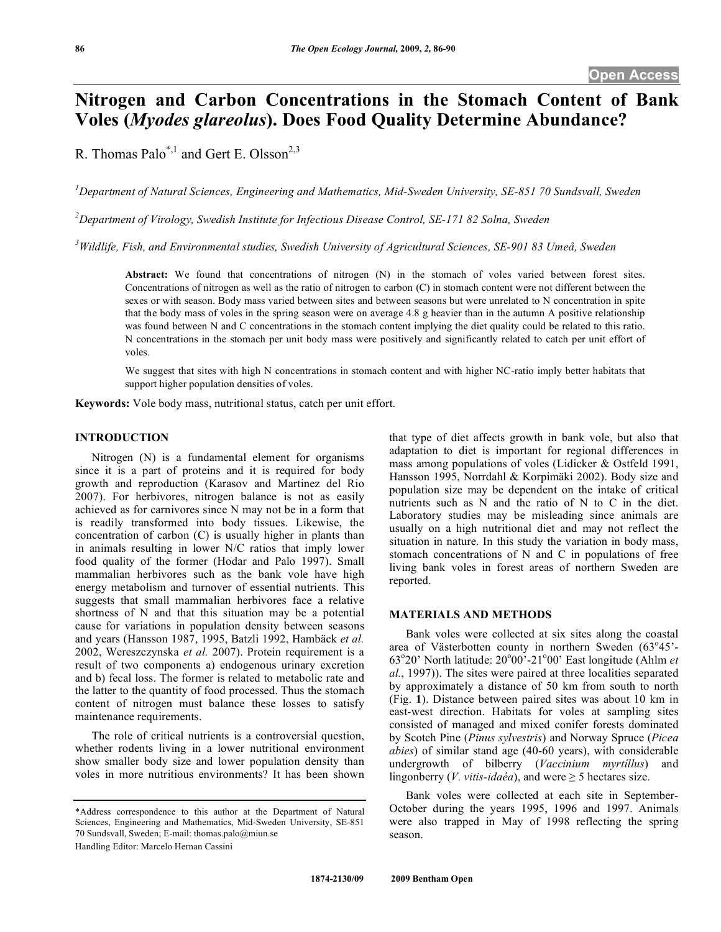# **Nitrogen and Carbon Concentrations in the Stomach Content of Bank Voles (***Myodes glareolus***). Does Food Quality Determine Abundance?**

R. Thomas Palo<sup>\*,1</sup> and Gert E. Olsson<sup>2,3</sup>

<sup>1</sup> Department of Natural Sciences, Engineering and Mathematics, Mid-Sweden University, SE-851 70 Sundsvall, Sweden

*2 Department of Virology, Swedish Institute for Infectious Disease Control, SE-171 82 Solna, Sweden* 

<sup>3</sup> Wildlife, Fish, and Environmental studies, Swedish University of Agricultural Sciences, SE-901 83 Umeå, Sweden

**Abstract:** We found that concentrations of nitrogen (N) in the stomach of voles varied between forest sites. Concentrations of nitrogen as well as the ratio of nitrogen to carbon (C) in stomach content were not different between the sexes or with season. Body mass varied between sites and between seasons but were unrelated to N concentration in spite that the body mass of voles in the spring season were on average 4.8 g heavier than in the autumn A positive relationship was found between N and C concentrations in the stomach content implying the diet quality could be related to this ratio. N concentrations in the stomach per unit body mass were positively and significantly related to catch per unit effort of voles.

We suggest that sites with high N concentrations in stomach content and with higher NC-ratio imply better habitats that support higher population densities of voles.

**Keywords:** Vole body mass, nutritional status, catch per unit effort.

#### **INTRODUCTION**

 Nitrogen (N) is a fundamental element for organisms since it is a part of proteins and it is required for body growth and reproduction (Karasov and Martinez del Rio 2007). For herbivores, nitrogen balance is not as easily achieved as for carnivores since N may not be in a form that is readily transformed into body tissues. Likewise, the concentration of carbon (C) is usually higher in plants than in animals resulting in lower N/C ratios that imply lower food quality of the former (Hodar and Palo 1997). Small mammalian herbivores such as the bank vole have high energy metabolism and turnover of essential nutrients. This suggests that small mammalian herbivores face a relative shortness of N and that this situation may be a potential cause for variations in population density between seasons and years (Hansson 1987, 1995, Batzli 1992, Hambäck *et al.* 2002, Wereszczynska *et al.* 2007). Protein requirement is a result of two components a) endogenous urinary excretion and b) fecal loss. The former is related to metabolic rate and the latter to the quantity of food processed. Thus the stomach content of nitrogen must balance these losses to satisfy maintenance requirements.

 The role of critical nutrients is a controversial question, whether rodents living in a lower nutritional environment show smaller body size and lower population density than voles in more nutritious environments? It has been shown

Handling Editor: Marcelo Hernan Cassini

that type of diet affects growth in bank vole, but also that adaptation to diet is important for regional differences in mass among populations of voles (Lidicker & Ostfeld 1991, Hansson 1995, Norrdahl & Korpimäki 2002). Body size and population size may be dependent on the intake of critical nutrients such as N and the ratio of N to C in the diet. Laboratory studies may be misleading since animals are usually on a high nutritional diet and may not reflect the situation in nature. In this study the variation in body mass, stomach concentrations of N and C in populations of free living bank voles in forest areas of northern Sweden are reported.

# **MATERIALS AND METHODS**

 Bank voles were collected at six sites along the coastal area of Västerbotten county in northern Sweden (63°45'-63°20' North latitude: 20°00'-21°00' East longitude (Ahlm *et al.*, 1997)). The sites were paired at three localities separated by approximately a distance of 50 km from south to north (Fig. **1**). Distance between paired sites was about 10 km in east-west direction. Habitats for voles at sampling sites consisted of managed and mixed conifer forests dominated by Scotch Pine (*Pinus sylvestris*) and Norway Spruce (*Picea abies*) of similar stand age (40-60 years), with considerable undergrowth of bilberry (*Vaccinium myrtíllus*) and lingonberry (*V. vitis-idaéa*), and were  $\geq$  5 hectares size.

 Bank voles were collected at each site in September-October during the years 1995, 1996 and 1997. Animals were also trapped in May of 1998 reflecting the spring season.

<sup>\*</sup>Address correspondence to this author at the Department of Natural Sciences, Engineering and Mathematics, Mid-Sweden University, SE-851 70 Sundsvall, Sweden; E-mail: thomas.palo@miun.se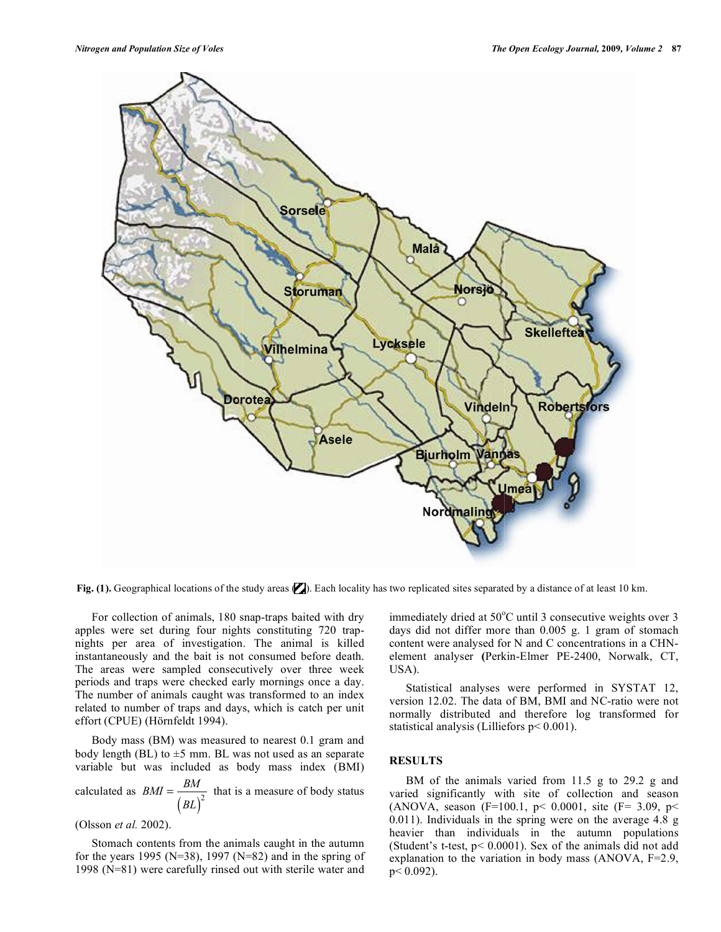

Fig. (1). Geographical locations of the study areas **(2)**. Each locality has two replicated sites separated by a distance of at least 10 km.

 For collection of animals, 180 snap-traps baited with dry apples were set during four nights constituting 720 trapnights per area of investigation. The animal is killed instantaneously and the bait is not consumed before death. The areas were sampled consecutively over three week periods and traps were checked early mornings once a day. The number of animals caught was transformed to an index related to number of traps and days, which is catch per unit effort (CPUE) (Hörnfeldt 1994).

 Body mass (BM) was measured to nearest 0.1 gram and body length (BL) to  $\pm$ 5 mm. BL was not used as an separate variable but was included as body mass index (BMI)

calculated as *BMI* <sup>=</sup> *BM* ( ) *BL*  $\frac{1}{2}$  that is a measure of body status

(Olsson *et al.* 2002).

 Stomach contents from the animals caught in the autumn for the years 1995 ( $N=38$ ), 1997 ( $N=82$ ) and in the spring of 1998 (N=81) were carefully rinsed out with sterile water and

immediately dried at 50°C until 3 consecutive weights over 3 days did not differ more than 0.005 g. 1 gram of stomach content were analysed for N and C concentrations in a CHNelement analyser **(**Perkin-Elmer PE-2400, Norwalk, CT, USA).

 Statistical analyses were performed in SYSTAT 12, version 12.02. The data of BM, BMI and NC-ratio were not normally distributed and therefore log transformed for statistical analysis (Lilliefors p< 0.001).

# **RESULTS**

 BM of the animals varied from 11.5 g to 29.2 g and varied significantly with site of collection and season (ANOVA, season (F=100.1,  $p$  < 0.0001, site (F= 3.09,  $p$  < 0.011). Individuals in the spring were on the average 4.8 g heavier than individuals in the autumn populations (Student's t-test, p< 0.0001). Sex of the animals did not add explanation to the variation in body mass (ANOVA, F=2.9,  $p < 0.092$ ).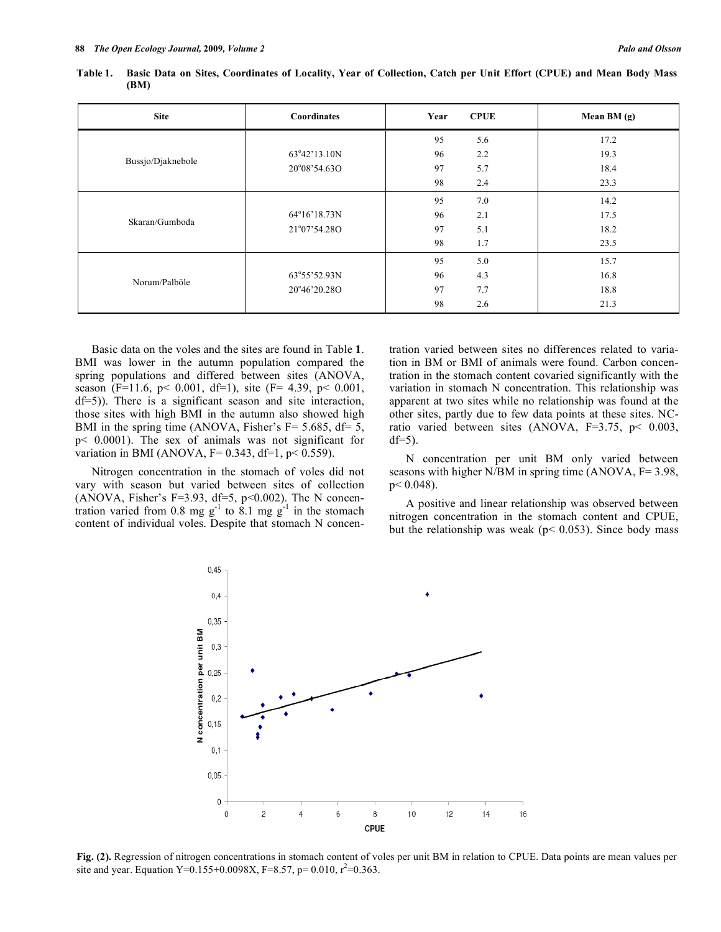| <b>Site</b>       | <b>Coordinates</b>    | Year | <b>CPUE</b> | Mean BM (g) |
|-------------------|-----------------------|------|-------------|-------------|
| Bussjo/Djaknebole |                       | 95   | 5.6         | 17.2        |
|                   | 63°42'13.10N          | 96   | 2.2         | 19.3        |
|                   | 20°08'54.63O          | 97   | 5.7         | 18.4        |
|                   |                       | 98   | 2.4         | 23.3        |
| Skaran/Gumboda    |                       | 95   | 7.0         | 14.2        |
|                   | $64^{\circ}16'18.73N$ | 96   | 2.1         | 17.5        |
|                   | 21°07'54.28O          | 97   | 5.1         | 18.2        |
|                   |                       | 98   | 1.7         | 23.5        |
| Norum/Palböle     |                       | 95   | 5.0         | 15.7        |
|                   | 63°55'52.93N          | 96   | 4.3         | 16.8        |
|                   | 20°46'20.28O          | 97   | 7.7         | 18.8        |
|                   |                       | 98   | 2.6         | 21.3        |

**Table 1. Basic Data on Sites, Coordinates of Locality, Year of Collection, Catch per Unit Effort (CPUE) and Mean Body Mass (BM)** 

 Basic data on the voles and the sites are found in Table **1**. BMI was lower in the autumn population compared the spring populations and differed between sites (ANOVA, season (F=11.6, p< 0.001, df=1), site (F= 4.39, p< 0.001, df=5)). There is a significant season and site interaction, those sites with high BMI in the autumn also showed high BMI in the spring time (ANOVA, Fisher's  $F = 5.685$ , df= 5, p< 0.0001). The sex of animals was not significant for variation in BMI (ANOVA,  $F= 0.343$ ,  $df=1$ ,  $p < 0.559$ ).

 Nitrogen concentration in the stomach of voles did not vary with season but varied between sites of collection (ANOVA, Fisher's F=3.93, df=5, p<0.002). The N concentration varied from 0.8 mg  $g^{-1}$  to 8.1 mg  $g^{-1}$  in the stomach content of individual voles. Despite that stomach N concentration varied between sites no differences related to variation in BM or BMI of animals were found. Carbon concentration in the stomach content covaried significantly with the variation in stomach N concentration. This relationship was apparent at two sites while no relationship was found at the other sites, partly due to few data points at these sites. NCratio varied between sites (ANOVA, F=3.75, p< 0.003,  $df=5$ ).

 N concentration per unit BM only varied between seasons with higher N/BM in spring time (ANOVA, F= 3.98,  $p < 0.048$ ).

 A positive and linear relationship was observed between nitrogen concentration in the stomach content and CPUE, but the relationship was weak ( $p$  < 0.053). Since body mass



**Fig. (2).** Regression of nitrogen concentrations in stomach content of voles per unit BM in relation to CPUE. Data points are mean values per site and year. Equation Y=0.155+0.0098X, F=8.57, p= 0.010,  $r^2$ =0.363.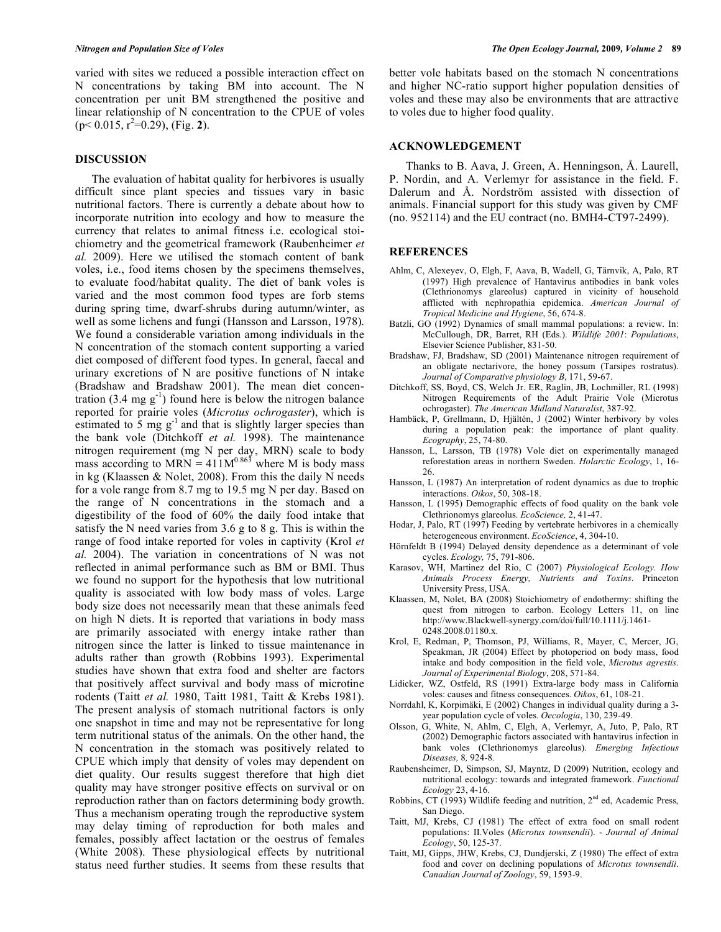varied with sites we reduced a possible interaction effect on N concentrations by taking BM into account. The N concentration per unit BM strengthened the positive and linear relationship of N concentration to the CPUE of voles  $(p< 0.015, r<sup>2</sup>=0.29)$ , (Fig. 2).

#### **DISCUSSION**

 The evaluation of habitat quality for herbivores is usually difficult since plant species and tissues vary in basic nutritional factors. There is currently a debate about how to incorporate nutrition into ecology and how to measure the currency that relates to animal fitness i.e. ecological stoichiometry and the geometrical framework (Raubenheimer *et al.* 2009). Here we utilised the stomach content of bank voles, i.e., food items chosen by the specimens themselves, to evaluate food/habitat quality. The diet of bank voles is varied and the most common food types are forb stems during spring time, dwarf-shrubs during autumn/winter, as well as some lichens and fungi (Hansson and Larsson, 1978). We found a considerable variation among individuals in the N concentration of the stomach content supporting a varied diet composed of different food types. In general, faecal and urinary excretions of N are positive functions of N intake (Bradshaw and Bradshaw 2001). The mean diet concentration  $(3.4 \text{ mg g}^{-1})$  found here is below the nitrogen balance reported for prairie voles (*Microtus ochrogaster*), which is estimated to 5 mg  $g^{-1}$  and that is slightly larger species than the bank vole (Ditchkoff *et al.* 1998). The maintenance nitrogen requirement (mg N per day, MRN) scale to body mass according to MRN =  $411M^{0.863}$  where M is body mass in kg (Klaassen & Nolet, 2008). From this the daily N needs for a vole range from 8.7 mg to 19.5 mg N per day. Based on the range of N concentrations in the stomach and a digestibility of the food of 60% the daily food intake that satisfy the N need varies from 3.6 g to 8 g. This is within the range of food intake reported for voles in captivity (Krol *et al.* 2004). The variation in concentrations of N was not reflected in animal performance such as BM or BMI. Thus we found no support for the hypothesis that low nutritional quality is associated with low body mass of voles. Large body size does not necessarily mean that these animals feed on high N diets. It is reported that variations in body mass are primarily associated with energy intake rather than nitrogen since the latter is linked to tissue maintenance in adults rather than growth (Robbins 1993). Experimental studies have shown that extra food and shelter are factors that positively affect survival and body mass of microtine rodents (Taitt *et al.* 1980, Taitt 1981, Taitt & Krebs 1981). The present analysis of stomach nutritional factors is only one snapshot in time and may not be representative for long term nutritional status of the animals. On the other hand, the N concentration in the stomach was positively related to CPUE which imply that density of voles may dependent on diet quality. Our results suggest therefore that high diet quality may have stronger positive effects on survival or on reproduction rather than on factors determining body growth. Thus a mechanism operating trough the reproductive system may delay timing of reproduction for both males and females, possibly affect lactation or the oestrus of females (White 2008). These physiological effects by nutritional status need further studies. It seems from these results that

better vole habitats based on the stomach N concentrations and higher NC-ratio support higher population densities of voles and these may also be environments that are attractive to voles due to higher food quality.

#### **ACKNOWLEDGEMENT**

 Thanks to B. Aava, J. Green, A. Henningson, Å. Laurell, P. Nordin, and A. Verlemyr for assistance in the field. F. Dalerum and Å. Nordström assisted with dissection of animals. Financial support for this study was given by CMF (no. 952114) and the EU contract (no. BMH4-CT97-2499).

### **REFERENCES**

- Ahlm, C, Alexeyev, O, Elgh, F, Aava, B, Wadell, G, Tärnvik, A, Palo, RT (1997) High prevalence of Hantavirus antibodies in bank voles (Clethrionomys glareolus) captured in vicinity of household afflicted with nephropathia epidemica. *American Journal of Tropical Medicine and Hygiene*, 56, 674-8.
- Batzli, GO (1992) Dynamics of small mammal populations: a review. In: McCullough, DR, Barret, RH (Eds.). *Wildlife 2001*: *Populations*, Elsevier Science Publisher, 831-50.
- Bradshaw, FJ, Bradshaw, SD (2001) Maintenance nitrogen requirement of an obligate nectarivore, the honey possum (Tarsipes rostratus). *Journal of Comparative physiology B*, 171, 59-67.
- Ditchkoff, SS, Boyd, CS, Welch Jr. ER, Raglin, JB, Lochmiller, RL (1998) Nitrogen Requirements of the Adult Prairie Vole (Microtus ochrogaster). *The American Midland Naturalist*, 387-92.
- Hambäck, P, Grellmann, D, Hjältén, J (2002) Winter herbivory by voles during a population peak: the importance of plant quality. *Ecography*, 25, 74-80.
- Hansson, L, Larsson, TB (1978) Vole diet on experimentally managed reforestation areas in northern Sweden. *Holarctic Ecology*, 1, 16- 26.
- Hansson, L (1987) An interpretation of rodent dynamics as due to trophic interactions. *Oikos*, 50, 308-18.
- Hansson, L (1995) Demographic effects of food quality on the bank vole Clethrionomys glareolus. *EcoScience,* 2, 41-47.
- Hodar, J, Palo, RT (1997) Feeding by vertebrate herbivores in a chemically heterogeneous environment. *EcoScience*, 4, 304-10.
- Hörnfeldt B (1994) Delayed density dependence as a determinant of vole cycles. *Ecology,* 75, 791-806.
- Karasov, WH, Martinez del Rio, C (2007) *Physiological Ecology. How Animals Process Energy, Nutrients and Toxins*. Princeton University Press, USA.
- Klaassen, M, Nolet, BA (2008) Stoichiometry of endothermy: shifting the quest from nitrogen to carbon. Ecology Letters 11, on line http://www.Blackwell-synergy.com/doi/full/10.1111/j.1461- 0248.2008.01180.x.
- Krol, E, Redman, P, Thomson, PJ, Williams, R, Mayer, C, Mercer, JG, Speakman, JR (2004) Effect by photoperiod on body mass, food intake and body composition in the field vole, *Microtus agrestis*. *Journal of Experimental Biology*, 208, 571-84.
- Lidicker, WZ, Ostfeld, RS (1991) Extra-large body mass in California voles: causes and fitness consequences. *Oikos*, 61, 108-21.
- Norrdahl, K, Korpimäki, E (2002) Changes in individual quality during a 3 year population cycle of voles. *Oecologia*, 130, 239-49.
- Olsson, G, White, N, Ahlm, C, Elgh, A, Verlemyr, A, Juto, P, Palo, RT (2002) Demographic factors associated with hantavirus infection in bank voles (Clethrionomys glareolus). *Emerging Infectious Diseases,* 8*,* 924-8*.*
- Raubensheimer, D, Simpson, SJ, Mayntz, D (2009) Nutrition, ecology and nutritional ecology: towards and integrated framework. *Functional Ecology* 23, 4-16.
- Robbins, CT (1993) Wildlife feeding and nutrition,  $2<sup>nd</sup>$  ed, Academic Press, San Diego.
- Taitt, MJ, Krebs, CJ (1981) The effect of extra food on small rodent populations: II.Voles (*Microtus townsendii*). - *Journal of Animal Ecology*, 50, 125-37.
- Taitt, MJ, Gipps, JHW, Krebs, CJ, Dundjerski, Z (1980) The effect of extra food and cover on declining populations of *Microtus townsendii*. *Canadian Journal of Zoology*, 59, 1593-9.